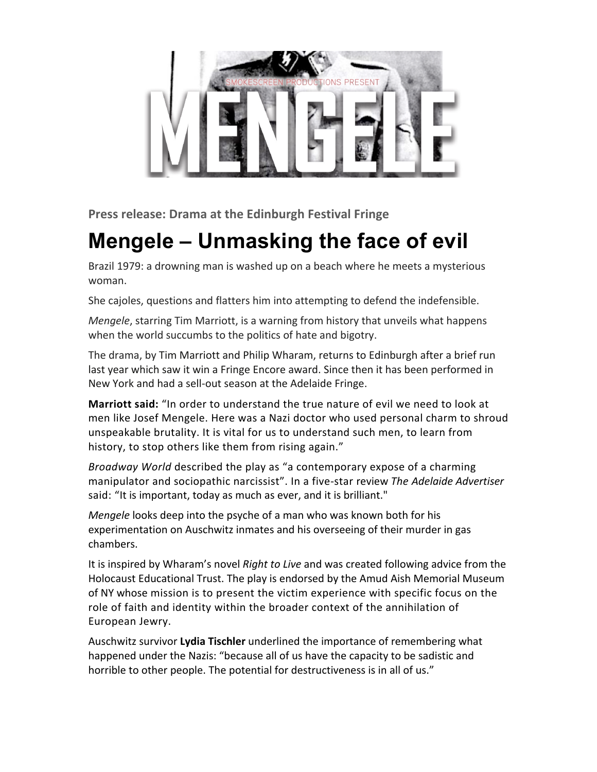

**Press release: Drama at the Edinburgh Festival Fringe** 

## **Mengele – Unmasking the face of evil**

Brazil 1979: a drowning man is washed up on a beach where he meets a mysterious woman.

She cajoles, questions and flatters him into attempting to defend the indefensible.

*Mengele*, starring Tim Marriott, is a warning from history that unveils what happens when the world succumbs to the politics of hate and bigotry.

The drama, by Tim Marriott and Philip Wharam, returns to Edinburgh after a brief run last year which saw it win a Fringe Encore award. Since then it has been performed in New York and had a sell-out season at the Adelaide Fringe.

**Marriott said:** "In order to understand the true nature of evil we need to look at men like Josef Mengele. Here was a Nazi doctor who used personal charm to shroud unspeakable brutality. It is vital for us to understand such men, to learn from history, to stop others like them from rising again."

*Broadway* World described the play as "a contemporary expose of a charming manipulator and sociopathic narcissist". In a five-star review The Adelaide Advertiser said: "It is important, today as much as ever, and it is brilliant."

*Mengele* looks deep into the psyche of a man who was known both for his experimentation on Auschwitz inmates and his overseeing of their murder in gas chambers. 

It is inspired by Wharam's novel *Right to Live* and was created following advice from the Holocaust Educational Trust. The play is endorsed by the Amud Aish Memorial Museum of NY whose mission is to present the victim experience with specific focus on the role of faith and identity within the broader context of the annihilation of European Jewry.

Auschwitz survivor Lydia Tischler underlined the importance of remembering what happened under the Nazis: "because all of us have the capacity to be sadistic and horrible to other people. The potential for destructiveness is in all of us."